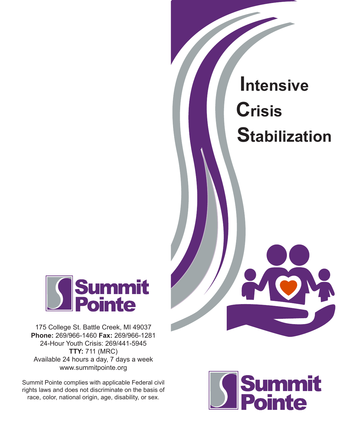# **Intensive Crisis Stabilization**



175 College St. Battle Creek, MI 49037 **Phone:** 269/966-1460 **Fax:** 269/966-1281 24-Hour Youth Crisis: 269/441-5945 **TTY:** 711 (MRC) Available 24 hours a day, 7 days a week www.summitpointe.org

Summit Pointe complies with applicable Federal civil rights laws and does not discriminate on the basis of race, color, national origin, age, disability, or sex.